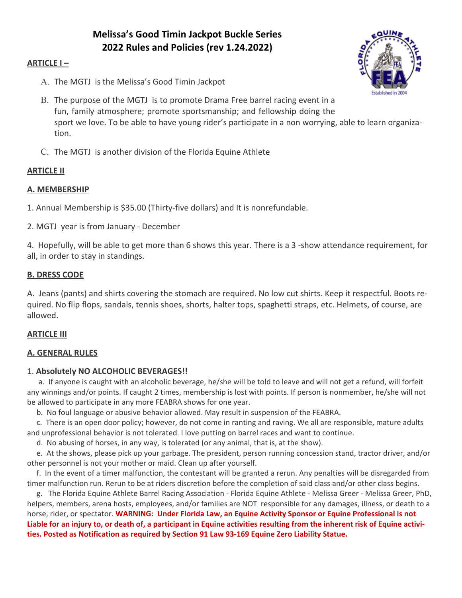# **Melissa's Good Timin Jackpot Buckle Series 2022 Rules and Policies (rev 1.24.2022)**

# **ARTICLE I –**

A. The MGTJ is the Melissa's Good Timin Jackpot



- B. The purpose of the MGTJ is to promote Drama Free barrel racing event in a fun, family atmosphere; promote sportsmanship; and fellowship doing the sport we love. To be able to have young rider's participate in a non worrying, able to learn organiza tion.
- C. The MGTJ is another division of the Florida Equine Athlete

# **ARTICLE II**

# **A. MEMBERSHIP**

1. Annual Membership is \$35.00 (Thirty-five dollars) and It is nonrefundable.

2. MGTJ year is from January - December

4. Hopefully, will be able to get more than 6 shows this year. There is a 3 -show attendance requirement, for all, in order to stay in standings.

# **B. DRESS CODE**

A. Jeans (pants) and shirts covering the stomach are required. No low cut shirts. Keep it respectful. Boots re quired. No flip flops, sandals, tennis shoes, shorts, halter tops, spaghetti straps, etc. Helmets, of course, are allowed.

#### **ARTICLE III**

#### **A. GENERAL RULES**

#### 1.**Absolutely NO ALCOHOLIC BEVERAGES!!**

 a. If anyone is caught with an alcoholic beverage, he/she will be told to leave and will not get a refund, will forfeit any winnings and/or points. If caught 2 times, membership is lost with points. If person is nonmember, he/she will not be allowed to participate in any more FEABRA shows for one year.

b. No foul language or abusive behavior allowed. May result in suspension of the FEABRA.

 c. There is an open door policy; however, do not come in ranting and raving. We all are responsible, mature adults and unprofessional behavior is not tolerated. I love putting on barrel races and want to continue.

d. No abusing of horses, in any way, is tolerated (or any animal, that is, at the show).

 e. At the shows, please pick up your garbage. The president, person running concession stand, tractor driver, and/or other personnel is not your mother or maid. Clean up after yourself.

 f. In the event of a timer malfunction, the contestant will be granted a rerun. Any penalties will be disregarded from timer malfunction run. Rerun to be at riders discretion before the completion of said class and/or other class begins.

 g. The Florida Equine Athlete Barrel Racing Association - Florida Equine Athlete - Melissa Greer - Melissa Greer, PhD, helpers, members, arena hosts, employees, and/or families are NOT responsible for any damages, illness, or death to a horse, rider, or spectator. **WARNING: Under Florida Law, an Equine Activity Sponsor or Equine Professional is not Liable for an injury to, or death of, a participant in Equine activities resulting from the inherent risk of Equine activi ties. Posted as Notification as required by Section 91 Law 93-169 Equine Zero Liability Statue.**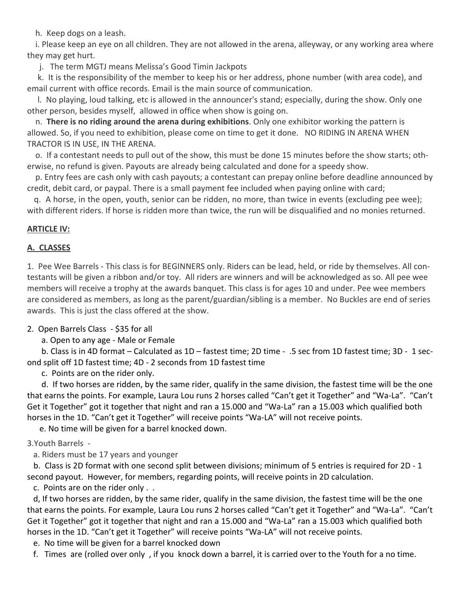h. Keep dogs on a leash.

 i. Please keep an eye on all children. They are not allowed in the arena, alleyway, or any working area where they may get hurt.

j. The term MGTJ means Melissa's Good Timin Jackpots

 k. It is the responsibility of the member to keep his or her address, phone number (with area code), and email current with office records. Email is the main source of communication.

 l. No playing, loud talking, etc is allowed in the announcer's stand; especially, during the show. Only one other person, besides myself, allowed in office when show is going on.

 n.**There is no riding around the arena during exhibitions**. Only one exhibitor working the pattern is allowed. So, if you need to exhibition, please come on time to get it done. NO RIDING IN ARENA WHEN TRACTOR IS IN USE, IN THE ARENA.

 o. If a contestant needs to pull out of the show, this must be done 15 minutes before the show starts; oth erwise, no refund is given. Payouts are already being calculated and done for a speedy show.

 p. Entry fees are cash only with cash payouts; a contestant can prepay online before deadline announced by credit, debit card, or paypal. There is a small payment fee included when paying online with card;

 q. A horse, in the open, youth, senior can be ridden, no more, than twice in events (excluding pee wee); with different riders. If horse is ridden more than twice, the run will be disqualified and no monies returned.

# **ARTICLE IV:**

# **A. CLASSES**

1. Pee Wee Barrels - This class is for BEGINNERS only. Riders can be lead, held, or ride by themselves. All con testants will be given a ribbon and/or toy. All riders are winners and will be acknowledged as so. All pee wee members will receive a trophy at the awards banquet. This class is for ages 10 and under. Pee wee members are considered as members, as long as the parent/guardian/sibling is a member. No Buckles are end of series awards. This is just the class offered at the show.

2. Open Barrels Class - \$35 for all

a. Open to any age - Male or Female

 b. Class is in 4D format – Calculated as 1D – fastest time; 2D time - .5 sec from 1D fastest time; 3D - 1 sec ond split off 1D fastest time; 4D - 2 seconds from 1D fastest time

c. Points are on the rider only.

 d. If two horses are ridden, by the same rider, qualify in the same division, the fastest time will be the one that earns the points. For example, Laura Lou runs 2 horses called "Can't get it Together" and "Wa-La". "Can't Get it Together" got it together that night and ran a 15.000 and "Wa-La" ran a 15.003 which qualified both horses in the 1D. "Can't get it Together" will receive points "Wa-LA" will not receive points.

e. No time will be given for a barrel knocked down.

3.Youth Barrels -

a. Riders must be 17 years and younger

 b. Class is 2D format with one second split between divisions; minimum of 5 entries is required for 2D - 1 second payout. However, for members, regarding points, will receive points in 2D calculation.

c. Points are on the rider only . .

 d, If two horses are ridden, by the same rider, qualify in the same division, the fastest time will be the one that earns the points. For example, Laura Lou runs 2 horses called "Can't get it Together" and "Wa-La". "Can't Get it Together" got it together that night and ran a 15.000 and "Wa-La" ran a 15.003 which qualified both horses in the 1D. "Can't get it Together" will receive points "Wa-LA" will not receive points.

e. No time will be given for a barrel knocked down

f. Times are (rolled over only , if you knock down a barrel, it is carried over to the Youth for a no time.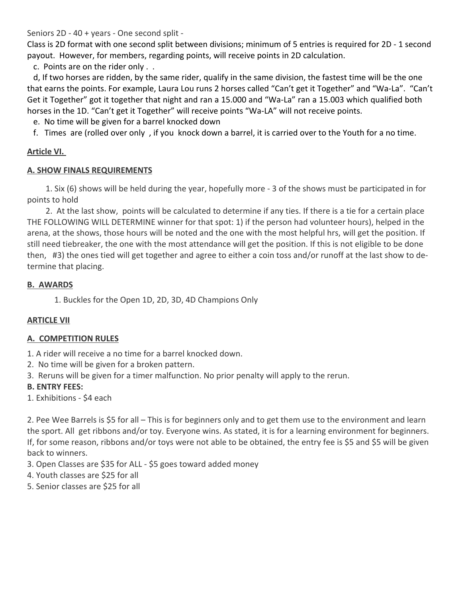Seniors 2D - 40 + years - One second split -

Class is 2D format with one second split between divisions; minimum of 5 entries is required for 2D - 1 second payout. However, for members, regarding points, will receive points in 2D calculation.

c. Points are on the rider only . .

 d, If two horses are ridden, by the same rider, qualify in the same division, the fastest time will be the one that earns the points. For example, Laura Lou runs 2 horses called "Can't get it Together" and "Wa-La". "Can't Get it Together" got it together that night and ran a 15.000 and "Wa-La" ran a 15.003 which qualified both horses in the 1D. "Can't get it Together" will receive points "Wa-LA" will not receive points.

e. No time will be given for a barrel knocked down

f. Times are (rolled over only , if you knock down a barrel, it is carried over to the Youth for a no time.

#### **Article VI.**

#### **A. SHOW FINALS REQUIREMENTS**

 1. Six (6) shows will be held during the year, hopefully more - 3 of the shows must be participated in for points to hold

 2. At the last show, points will be calculated to determine if any ties. If there is a tie for a certain place THE FOLLOWING WILL DETERMINE winner for that spot: 1) if the person had volunteer hours), helped in the arena, at the shows, those hours will be noted and the one with the most helpful hrs, will get the position. If still need tiebreaker, the one with the most attendance will get the position. If this is not eligible to be done then, #3) the ones tied will get together and agree to either a coin toss and/or runoff at the last show to de termine that placing.

# **B. AWARDS**

1. Buckles for the Open 1D, 2D, 3D, 4D Champions Only

#### **ARTICLE VII**

#### **A. COMPETITION RULES**

- 1. A rider will receive a no time for a barrel knocked down.
- 2. No time will be given for a broken pattern.
- 3. Reruns will be given for a timer malfunction. No prior penalty will apply to the rerun.

#### **B. ENTRY FEES:**

1. Exhibitions - \$4 each

2. Pee Wee Barrels is \$5 for all – This is for beginners only and to get them use to the environment and learn the sport. All get ribbons and/or toy. Everyone wins. As stated, it is for a learning environment for beginners. If, for some reason, ribbons and/or toys were not able to be obtained, the entry fee is \$5 and \$5 will be given back to winners.

- 3. Open Classes are \$35 for ALL \$5 goes toward added money
- 4. Youth classes are \$25 for all
- 5. Senior classes are \$25 for all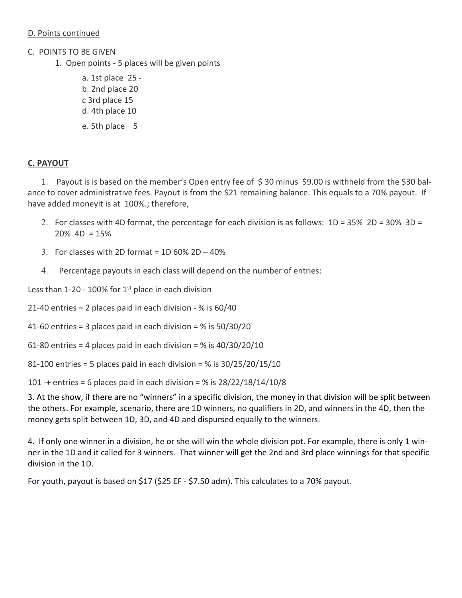# D. Points continued

- C. POINTS TO BE GIVEN
	- 1. Open points 5 places will be given points
		- a. 1st place 25 b. 2nd place 20 c 3rd place 15 d. 4th place 10 e. 5th place 5

# **C. PAYOUT**

1. Payout is is based on the member's Open entry fee of \$ 30 minus \$9.00 is withheld from the \$30 bal ance to cover administrative fees. Payout is from the \$21 remaining balance. This equals to a 70% payout. If have added moneyit is at 100%.; therefore,

- 2. For classes with 4D format, the percentage for each division is as follows:  $1D = 35\% 2D = 30\% 3D =$  $20\%$  4D = 15%
- 3. For classes with 2D format =  $1D\,60\%$  2D  $40\%$
- 4. Percentage payouts in each class will depend on the number of entries:

Less than  $1-20 - 100\%$  for  $1<sup>st</sup>$  place in each division

- 21-40 entries = 2 places paid in each division % is 60/40
- 41-60 entries = 3 places paid in each division =  $%$  is 50/30/20
- 61-80 entries = 4 places paid in each division =  $%$  is 40/30/20/10
- 81-100 entries = 5 places paid in each division = % is 30/25/20/15/10

101 -+ entries = 6 places paid in each division = % is  $28/22/18/14/10/8$ 

3. At the show, if there are no "winners" in a specific division, the money in that division will be split between the others. For example, scenario, there are 1D winners, no qualifiers in 2D, and winners in the 4D, then the money gets split between 1D, 3D, and 4D and dispursed equally to the winners.

4. If only one winner in a division, he or she will win the whole division pot. For example, there is only 1 win ner in the 1D and it called for 3 winners. That winner will get the 2nd and 3rd place winnings for that specific division in the 1D.

For youth, payout is based on \$17 (\$25 EF - \$7.50 adm). This calculates to a 70% payout.